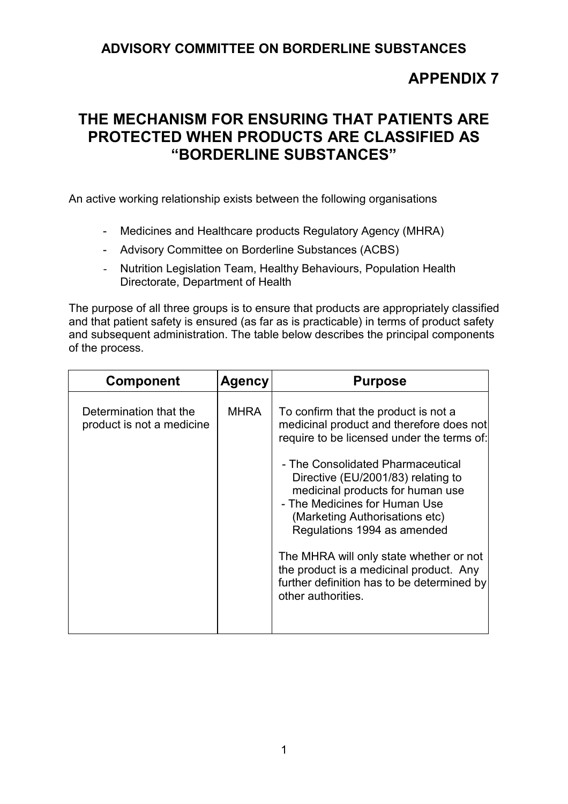## **ADVISORY COMMITTEE ON BORDERLINE SUBSTANCES**

## **APPENDIX 7**

## **THE MECHANISM FOR ENSURING THAT PATIENTS ARE PROTECTED WHEN PRODUCTS ARE CLASSIFIED AS "BORDERLINE SUBSTANCES"**

An active working relationship exists between the following organisations

- Medicines and Healthcare products Regulatory Agency (MHRA)
- Advisory Committee on Borderline Substances (ACBS)
- Nutrition Legislation Team, Healthy Behaviours, Population Health Directorate, Department of Health

The purpose of all three groups is to ensure that products are appropriately classified and that patient safety is ensured (as far as is practicable) in terms of product safety and subsequent administration. The table below describes the principal components of the process.

| <b>Component</b>                                    | <b>Agency</b> | <b>Purpose</b>                                                                                                                                                                                                                                                                                                                                                                                                                                                                                            |
|-----------------------------------------------------|---------------|-----------------------------------------------------------------------------------------------------------------------------------------------------------------------------------------------------------------------------------------------------------------------------------------------------------------------------------------------------------------------------------------------------------------------------------------------------------------------------------------------------------|
| Determination that the<br>product is not a medicine | <b>MHRA</b>   | To confirm that the product is not a<br>medicinal product and therefore does not<br>require to be licensed under the terms of:<br>- The Consolidated Pharmaceutical<br>Directive (EU/2001/83) relating to<br>medicinal products for human use<br>- The Medicines for Human Use<br>(Marketing Authorisations etc)<br>Regulations 1994 as amended<br>The MHRA will only state whether or not<br>the product is a medicinal product. Any<br>further definition has to be determined by<br>other authorities. |